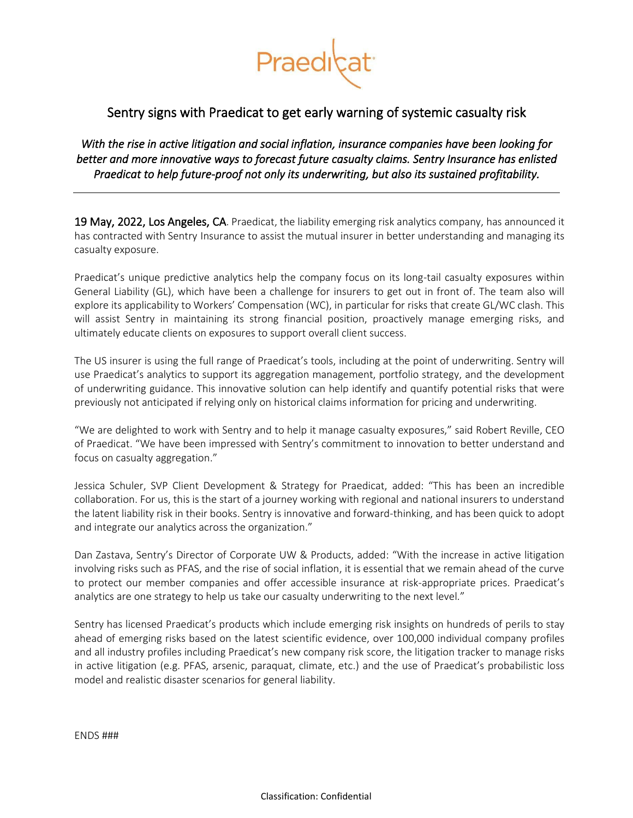

# Sentry signs with Praedicat to get early warning of systemic casualty risk

*With the rise in active litigation and social inflation, insurance companies have been looking for better and more innovative ways to forecast future casualty claims. Sentry Insurance has enlisted Praedicat to help future-proof not only its underwriting, but also its sustained profitability.* 

19 May, 2022, Los Angeles, CA. Praedicat, the liability emerging risk analytics company, has announced it has contracted with Sentry Insurance to assist the mutual insurer in better understanding and managing its casualty exposure.

Praedicat's unique predictive analytics help the company focus on its long-tail casualty exposures within General Liability (GL), which have been a challenge for insurers to get out in front of. The team also will explore its applicability to Workers' Compensation (WC), in particular for risks that create GL/WC clash. This will assist Sentry in maintaining its strong financial position, proactively manage emerging risks, and ultimately educate clients on exposures to support overall client success.

The US insurer is using the full range of Praedicat's tools, including at the point of underwriting. Sentry will use Praedicat's analytics to support its aggregation management, portfolio strategy, and the development of underwriting guidance. This innovative solution can help identify and quantify potential risks that were previously not anticipated if relying only on historical claims information for pricing and underwriting.

"We are delighted to work with Sentry and to help it manage casualty exposures," said Robert Reville, CEO of Praedicat. "We have been impressed with Sentry's commitment to innovation to better understand and focus on casualty aggregation."

Jessica Schuler, SVP Client Development & Strategy for Praedicat, added: "This has been an incredible collaboration. For us, this is the start of a journey working with regional and national insurers to understand the latent liability risk in their books. Sentry is innovative and forward-thinking, and has been quick to adopt and integrate our analytics across the organization."

Dan Zastava, Sentry's Director of Corporate UW & Products, added: "With the increase in active litigation involving risks such as PFAS, and the rise of social inflation, it is essential that we remain ahead of the curve to protect our member companies and offer accessible insurance at risk-appropriate prices. Praedicat's analytics are one strategy to help us take our casualty underwriting to the next level."

Sentry has licensed Praedicat's products which include emerging risk insights on hundreds of perils to stay ahead of emerging risks based on the latest scientific evidence, over 100,000 individual company profiles and all industry profiles including Praedicat's new company risk score, the litigation tracker to manage risks in active litigation (e.g. PFAS, arsenic, paraquat, climate, etc.) and the use of Praedicat's probabilistic loss model and realistic disaster scenarios for general liability.

ENDS ###